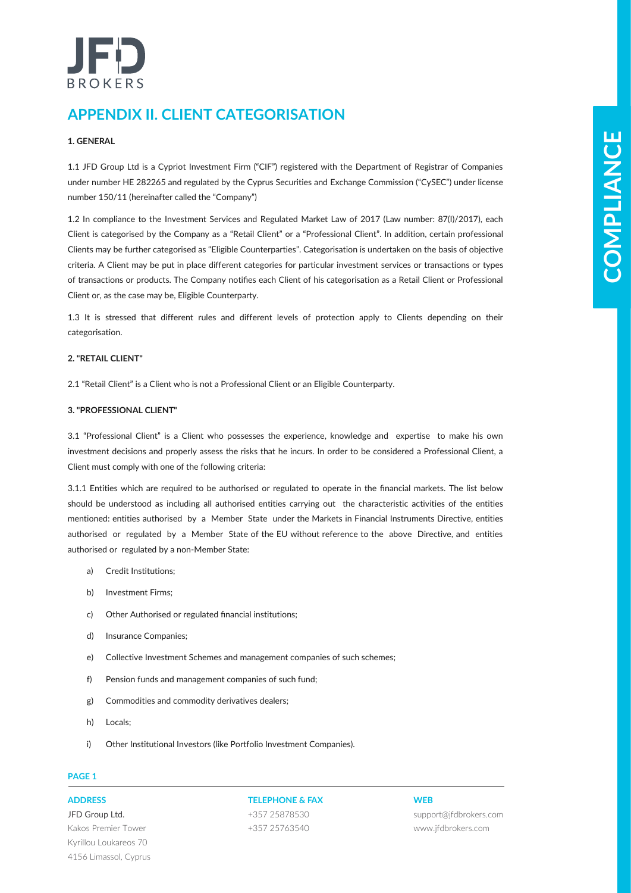# BROKERS

# **APPENDIX II. CLIENT CATEGORISATION**

# **1. GENERAL**

1.1 JFD Group Ltd is a Cypriot Investment Firm ("CIF") registered with the Department of Registrar of Companies under number HE 282265 and regulated by the Cyprus Securities and Exchange Commission ("CySEC") under license number 150/11 (hereinafter called the "Company")

**LODESK**<br> **COMPARE CONTINUES INTO A CONSUMERATION** (1972) and the function of the procedure of Comparing the Company of the Company of the Company of the Company of the Company of the Company of the Company of the Company 1.2 In compliance to the Investment Services and Regulated Market Law of 2017 (Law number: 87(I)/2017), each Client is categorised by the Company as a "Retail Client" or a "Professional Client". In addition, certain professional Clients may be further categorised as "Eligible Counterparties". Categorisation is undertaken on the basis of objective criteria. A Client may be put in place different categories for particular investment services or transactions or types of transactions or products. The Company notifies each Client of his categorisation as a Retail Client or Professional Client or, as the case may be, Eligible Counterparty.

1.3 It is stressed that different rules and different levels of protection apply to Clients depending on their categorisation.

# **2. "RETAIL CLIENT"**

2.1 "Retail Client" is a Client who is not a Professional Client or an Eligible Counterparty.

# **3. "PROFESSIONAL CLIENT"**

3.1 "Professional Client" is a Client who possesses the experience, knowledge and expertise to make his own investment decisions and properly assess the risks that he incurs. In order to be considered a Professional Client, a Client must comply with one of the following criteria:

3.1.1 Entities which are required to be authorised or regulated to operate in the financial markets. The list below should be understood as including all authorised entities carrying out the characteristic activities of the entities mentioned: entities authorised by a Member State under the Markets in Financial Instruments Directive, entities authorised or regulated by a Member State of the EU without reference to the above Directive, and entities authorised or regulated by a non-Member State:

- a) Credit Institutions;
- b) Investment Firms;
- c) Other Authorised or regulated financial institutions;
- d) Insurance Companies;
- e) Collective Investment Schemes and management companies of such schemes;
- f) Pension funds and management companies of such fund;
- g) Commodities and commodity derivatives dealers;
- h) Locals;
- i) Other Institutional Investors (like Portfolio Investment Companies).

# **PAGE 1**

JFD Group Ltd. Kakos Premier Tower Kyrillou Loukareos 70 4156 Limassol, Cyprus

# **ADDRESS TELEPHONE & FAX WEB**

+357 25878530 +357 25763540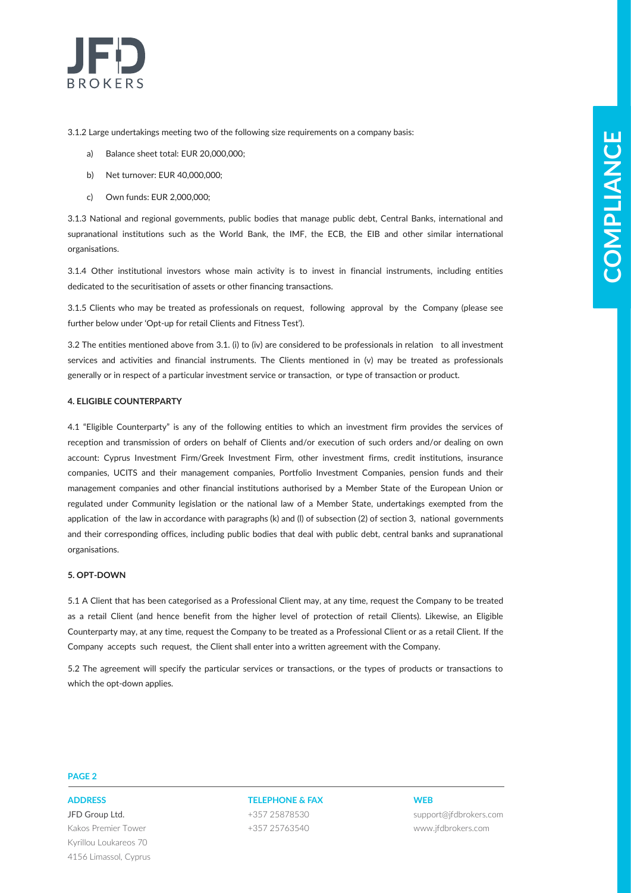

3.1.2 Large undertakings meeting two of the following size requirements on a company basis:

- a) Balance sheet total: EUR 20,000,000;
- b) Net turnover: EUR 40,000,000;
- c) Own funds: EUR 2,000,000;

3.1.3 National and regional governments, public bodies that manage public debt, Central Banks, international and supranational institutions such as the World Bank, the IMF, the ECB, the EIB and other similar international organisations.

3.1.4 Other institutional investors whose main activity is to invest in financial instruments, including entities dedicated to the securitisation of assets or other financing transactions.

3.1.5 Clients who may be treated as professionals on request, following approval by the Company (please see further below under 'Opt-up for retail Clients and Fitness Test').

3.2 The entities mentioned above from 3.1. (i) to (iv) are considered to be professionals in relation to all investment services and activities and financial instruments. The Clients mentioned in (v) may be treated as professionals generally or in respect of a particular investment service or transaction, or type of transaction or product.

# **4. ELIGIBLE COUNTERPARTY**

**Example 10: Conservation of the Conservation of the Conservation of the Conservation of the Conservation of the Conservation of the Conservation of the Conservation of the Conservation of the Conservation of the Conservat** 4.1 "Eligible Counterparty" is any of the following entities to which an investment firm provides the services of reception and transmission of orders on behalf of Clients and/or execution of such orders and/or dealing on own account: Cyprus Investment Firm/Greek Investment Firm, other investment firms, credit institutions, insurance companies, UCITS and their management companies, Portfolio Investment Companies, pension funds and their management companies and other financial institutions authorised by a Member State of the European Union or regulated under Community legislation or the national law of a Member State, undertakings exempted from the application of the law in accordance with paragraphs (k) and (l) of subsection (2) of section 3, national governments and their corresponding offices, including public bodies that deal with public debt, central banks and supranational organisations.

# **5. OPT-DOWN**

5.1 A Client that has been categorised as a Professional Client may, at any time, request the Company to be treated as a retail Client (and hence benefit from the higher level of protection of retail Clients). Likewise, an Eligible Counterparty may, at any time, request the Company to be treated as a Professional Client or as a retail Client. If the Company accepts such request, the Client shall enter into a written agreement with the Company.

5.2 The agreement will specify the particular services or transactions, or the types of products or transactions to which the opt-down applies.

# **PAGE 2**

JFD Group Ltd. Kakos Premier Tower Kyrillou Loukareos 70 4156 Limassol, Cyprus

# **ADDRESS TELEPHONE & FAX WEB** +357 25878530 +357 25763540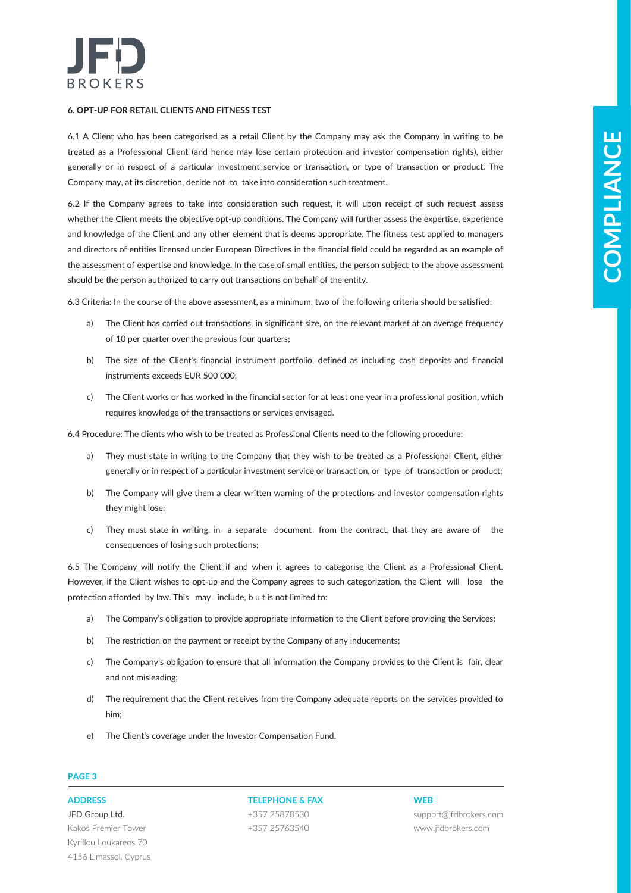

# **6. OPT-UP FOR RETAIL CLIENTS AND FITNESS TEST**

6.1 A Client who has been categorised as a retail Client by the Company may ask the Company in writing to be treated as a Professional Client (and hence may lose certain protection and investor compensation rights), either generally or in respect of a particular investment service or transaction, or type of transaction or product. The Company may, at its discretion, decide not to take into consideration such treatment.

A Follow absolve the projection and EDM by the projection and the Company of the projection and projection and the company of the set of the set of the set of the set of the set of the set of the set of the set of the set 6.2 If the Company agrees to take into consideration such request, it will upon receipt of such request assess whether the Client meets the objective opt-up conditions. The Company will further assess the expertise, experience and knowledge of the Client and any other element that is deems appropriate. The fitness test applied to managers and directors of entities licensed under European Directives in the financial field could be regarded as an example of the assessment of expertise and knowledge. In the case of small entities, the person subject to the above assessment should be the person authorized to carry out transactions on behalf of the entity.

6.3 Criteria: In the course of the above assessment, as a minimum, two of the following criteria should be satisfied:

- a) The Client has carried out transactions, in significant size, on the relevant market at an average frequency of 10 per quarter over the previous four quarters;
- b) The size of the Client's financial instrument portfolio, defined as including cash deposits and financial instruments exceeds EUR 500 000;
- c) The Client works or has worked in the financial sector for at least one year in a professional position, which requires knowledge of the transactions or services envisaged.

6.4 Procedure: The clients who wish to be treated as Professional Clients need to the following procedure:

- a) They must state in writing to the Company that they wish to be treated as a Professional Client, either generally or in respect of a particular investment service or transaction, or type of transaction or product;
- b) The Company will give them a clear written warning of the protections and investor compensation rights they might lose;
- c) They must state in writing, in a separate document from the contract, that they are aware of the consequences of losing such protections;

6.5 The Company will notify the Client if and when it agrees to categorise the Client as a Professional Client. However, if the Client wishes to opt-up and the Company agrees to such categorization, the Client will lose the protection afforded by law. This may include, b u t is not limited to:

- a) The Company's obligation to provide appropriate information to the Client before providing the Services;
- b) The restriction on the payment or receipt by the Company of any inducements;
- c) The Company's obligation to ensure that all information the Company provides to the Client is fair, clear and not misleading;
- d) The requirement that the Client receives from the Company adequate reports on the services provided to him;
- e) The Client's coverage under the Investor Compensation Fund.

# **PAGE 3**

JFD Group Ltd. Kakos Premier Tower Kyrillou Loukareos 70 4156 Limassol, Cyprus

# **ADDRESS TELEPHONE & FAX WEB** +357 25878530

+357 25763540